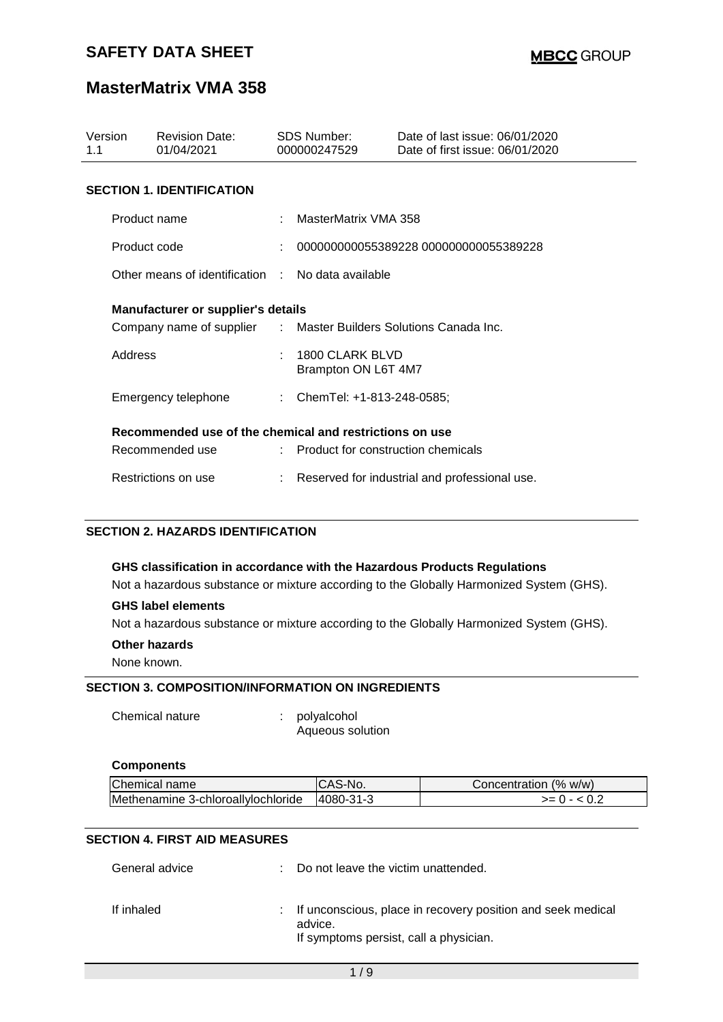## **MasterMatrix VMA 358**

| Version<br>1.1                                          | <b>Revision Date:</b><br>01/04/2021 | SDS Number:<br>000000247529 |                                        | Date of last issue: 06/01/2020<br>Date of first issue: 06/01/2020 |
|---------------------------------------------------------|-------------------------------------|-----------------------------|----------------------------------------|-------------------------------------------------------------------|
|                                                         | <b>SECTION 1. IDENTIFICATION</b>    |                             |                                        |                                                                   |
|                                                         | Product name                        |                             | MasterMatrix VMA 358                   |                                                                   |
| Product code                                            |                                     |                             |                                        | 000000000055389228 000000000055389228                             |
|                                                         | Other means of identification       |                             | No data available                      |                                                                   |
| <b>Manufacturer or supplier's details</b>               |                                     |                             |                                        |                                                                   |
| Company name of supplier :                              |                                     |                             |                                        | Master Builders Solutions Canada Inc.                             |
| Address                                                 |                                     | ÷                           | 1800 CLARK BLVD<br>Brampton ON L6T 4M7 |                                                                   |
|                                                         | Emergency telephone                 |                             | : ChemTel: +1-813-248-0585;            |                                                                   |
| Recommended use of the chemical and restrictions on use |                                     |                             |                                        |                                                                   |
|                                                         | Recommended use                     |                             | : Product for construction chemicals   |                                                                   |
|                                                         | Restrictions on use                 |                             |                                        | Reserved for industrial and professional use.                     |

### **SECTION 2. HAZARDS IDENTIFICATION**

#### **GHS classification in accordance with the Hazardous Products Regulations**

Not a hazardous substance or mixture according to the Globally Harmonized System (GHS).

### **GHS label elements**

Not a hazardous substance or mixture according to the Globally Harmonized System (GHS).

#### **Other hazards**

None known.

#### **SECTION 3. COMPOSITION/INFORMATION ON INGREDIENTS**

Chemical nature : polyalcohol

Aqueous solution

### **Components**

| Chemical name                      | <b>CAS-No.</b> | Concentration (% w/w) |
|------------------------------------|----------------|-----------------------|
| Methenamine 3-chloroallylochloride | 4080-31-3      | $>= 0 - 5.2$          |

#### **SECTION 4. FIRST AID MEASURES**

| General advice | Do not leave the victim unattended.                                                                                |
|----------------|--------------------------------------------------------------------------------------------------------------------|
| If inhaled     | : If unconscious, place in recovery position and seek medical<br>advice.<br>If symptoms persist, call a physician. |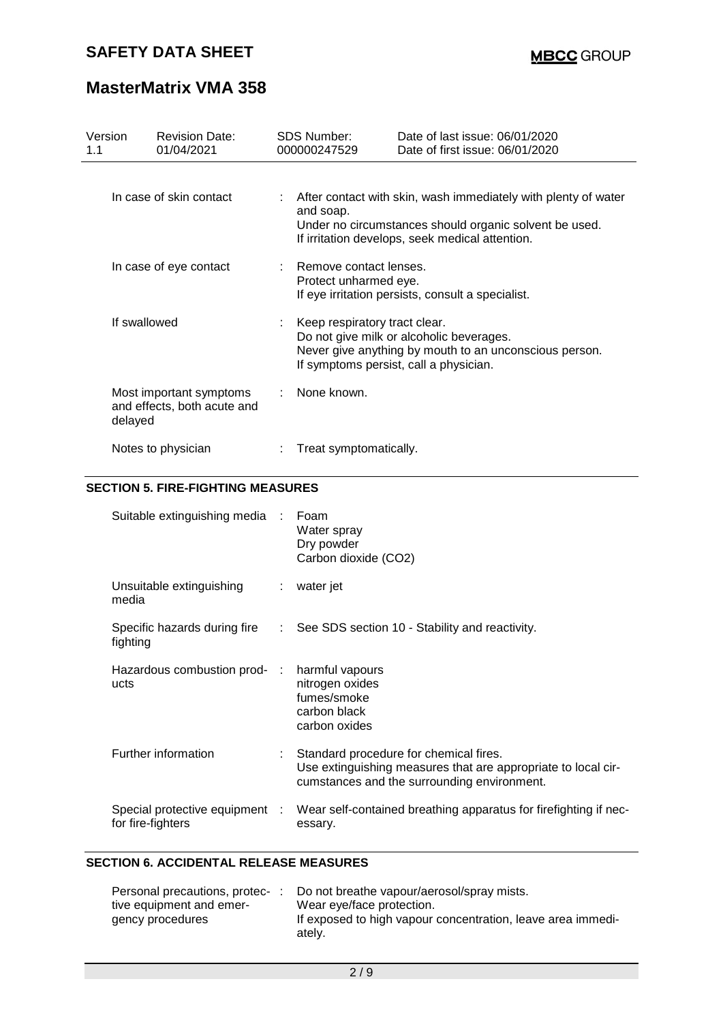# **MasterMatrix VMA 358**

| Version<br>1.1          | <b>Revision Date:</b><br>01/04/2021                    | <b>SDS Number:</b><br>000000247529                                                                                                                                              | Date of last issue: 06/01/2020<br>Date of first issue: 06/01/2020                                         |
|-------------------------|--------------------------------------------------------|---------------------------------------------------------------------------------------------------------------------------------------------------------------------------------|-----------------------------------------------------------------------------------------------------------|
| In case of skin contact |                                                        | and soap.                                                                                                                                                                       | : After contact with skin, wash immediately with plenty of water                                          |
|                         |                                                        |                                                                                                                                                                                 | Under no circumstances should organic solvent be used.<br>If irritation develops, seek medical attention. |
|                         | In case of eye contact                                 | : Remove contact lenses.<br>Protect unharmed eye.                                                                                                                               | If eye irritation persists, consult a specialist.                                                         |
| If swallowed            |                                                        | : Keep respiratory tract clear.<br>Do not give milk or alcoholic beverages.<br>Never give anything by mouth to an unconscious person.<br>If symptoms persist, call a physician. |                                                                                                           |
| delayed                 | Most important symptoms<br>and effects, both acute and | : None known.                                                                                                                                                                   |                                                                                                           |
|                         | Notes to physician                                     | Treat symptomatically.                                                                                                                                                          |                                                                                                           |

## **SECTION 5. FIRE-FIGHTING MEASURES**

| Suitable extinguishing media :                      |    | Foam<br>Water spray<br>Dry powder<br>Carbon dioxide (CO2)                                                                                              |
|-----------------------------------------------------|----|--------------------------------------------------------------------------------------------------------------------------------------------------------|
| Unsuitable extinguishing<br>media                   |    | : water jet                                                                                                                                            |
| Specific hazards during fire<br>fighting            |    | : See SDS section 10 - Stability and reactivity.                                                                                                       |
| Hazardous combustion prod-:<br>ucts                 |    | harmful vapours<br>nitrogen oxides<br>fumes/smoke<br>carbon black<br>carbon oxides                                                                     |
| Further information                                 | t. | Standard procedure for chemical fires.<br>Use extinguishing measures that are appropriate to local cir-<br>cumstances and the surrounding environment. |
| Special protective equipment :<br>for fire-fighters |    | Wear self-contained breathing apparatus for firefighting if nec-<br>essary.                                                                            |

### **SECTION 6. ACCIDENTAL RELEASE MEASURES**

| Personal precautions, protec- | Do not breathe vapour/aerosol/spray mists.                            |
|-------------------------------|-----------------------------------------------------------------------|
| tive equipment and emer-      | Wear eye/face protection.                                             |
| gency procedures              | If exposed to high vapour concentration, leave area immedi-<br>atelv. |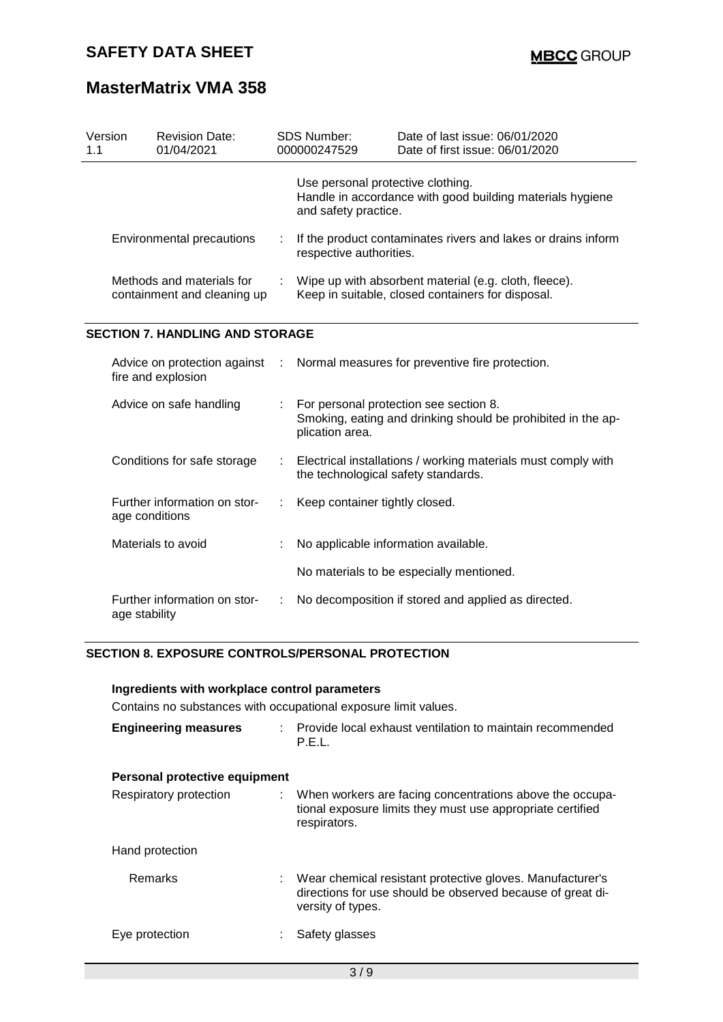| Version<br>1.1 |                                                          | <b>Revision Date:</b><br>01/04/2021    |                                                                                                      | <b>SDS Number:</b><br>000000247529                                                                                        | Date of last issue: 06/01/2020<br>Date of first issue: 06/01/2020 |  |
|----------------|----------------------------------------------------------|----------------------------------------|------------------------------------------------------------------------------------------------------|---------------------------------------------------------------------------------------------------------------------------|-------------------------------------------------------------------|--|
|                |                                                          |                                        |                                                                                                      | Use personal protective clothing.<br>and safety practice.                                                                 | Handle in accordance with good building materials hygiene         |  |
|                | <b>Environmental precautions</b>                         |                                        |                                                                                                      | If the product contaminates rivers and lakes or drains inform<br>respective authorities.                                  |                                                                   |  |
|                | Methods and materials for<br>containment and cleaning up |                                        |                                                                                                      | Wipe up with absorbent material (e.g. cloth, fleece).<br>Keep in suitable, closed containers for disposal.                |                                                                   |  |
|                |                                                          | <b>SECTION 7. HANDLING AND STORAGE</b> |                                                                                                      |                                                                                                                           |                                                                   |  |
|                | Advice on protection against<br>fire and explosion       |                                        |                                                                                                      |                                                                                                                           | Normal measures for preventive fire protection.                   |  |
|                | Advice on safe handling                                  |                                        |                                                                                                      | For personal protection see section 8.<br>Smoking, eating and drinking should be prohibited in the ap-<br>plication area. |                                                                   |  |
|                |                                                          | Conditions for safe storage            | Electrical installations / working materials must comply with<br>the technological safety standards. |                                                                                                                           |                                                                   |  |
|                | age conditions                                           | Further information on stor-           |                                                                                                      | Keep container tightly closed.                                                                                            |                                                                   |  |
|                |                                                          | Materials to avoid                     | No applicable information available.                                                                 |                                                                                                                           |                                                                   |  |
|                |                                                          |                                        |                                                                                                      |                                                                                                                           | No materials to be especially mentioned.                          |  |
|                | age stability                                            | Further information on stor-           | No decomposition if stored and applied as directed.                                                  |                                                                                                                           |                                                                   |  |

### **SECTION 8. EXPOSURE CONTROLS/PERSONAL PROTECTION**

### **Ingredients with workplace control parameters**

Contains no substances with occupational exposure limit values.

| <b>Engineering measures</b>   | : Provide local exhaust ventilation to maintain recommended<br>P.E.L.                                                                          |
|-------------------------------|------------------------------------------------------------------------------------------------------------------------------------------------|
| Personal protective equipment |                                                                                                                                                |
| Respiratory protection        | When workers are facing concentrations above the occupa-<br>tional exposure limits they must use appropriate certified<br>respirators.         |
| Hand protection               |                                                                                                                                                |
| Remarks                       | : Wear chemical resistant protective gloves. Manufacturer's<br>directions for use should be observed because of great di-<br>versity of types. |
| Eye protection                | Safety glasses                                                                                                                                 |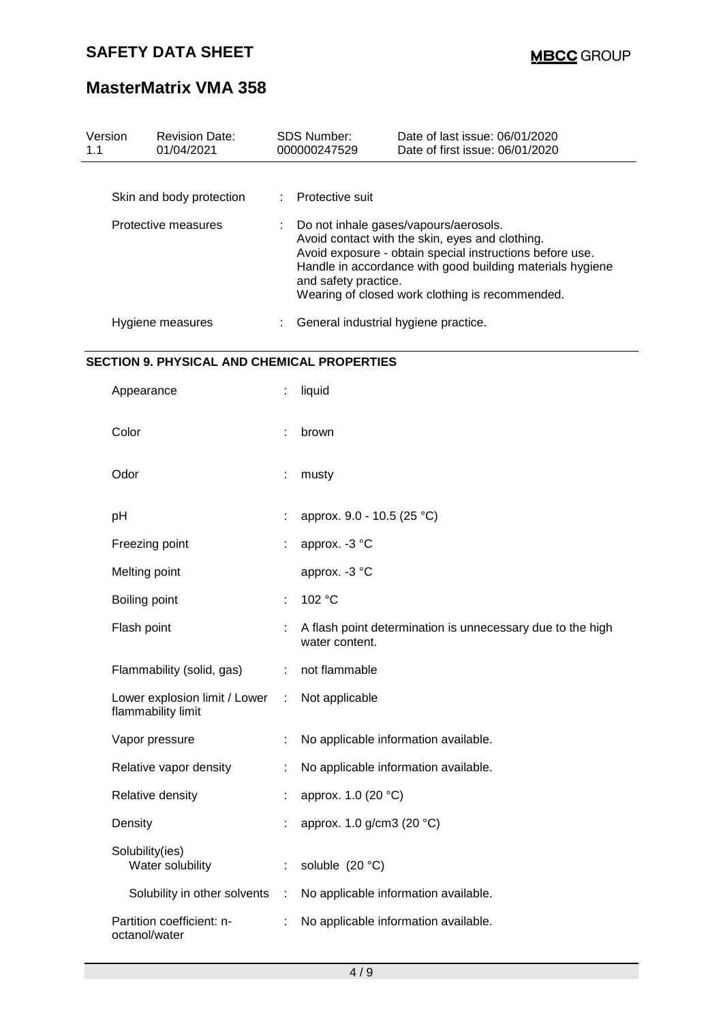# **MasterMatrix VMA 358**

| Version<br>1.1                             |                          | <b>Revision Date:</b><br>01/04/2021                   |                                                                                                                                                                                                                                                                                              | <b>SDS Number:</b><br>000000247529                                           | Date of last issue: 06/01/2020<br>Date of first issue: 06/01/2020 |  |  |
|--------------------------------------------|--------------------------|-------------------------------------------------------|----------------------------------------------------------------------------------------------------------------------------------------------------------------------------------------------------------------------------------------------------------------------------------------------|------------------------------------------------------------------------------|-------------------------------------------------------------------|--|--|
|                                            | Skin and body protection |                                                       |                                                                                                                                                                                                                                                                                              | Protective suit                                                              |                                                                   |  |  |
| Protective measures                        |                          |                                                       | Do not inhale gases/vapours/aerosols.<br>Avoid contact with the skin, eyes and clothing.<br>Avoid exposure - obtain special instructions before use.<br>Handle in accordance with good building materials hygiene<br>and safety practice.<br>Wearing of closed work clothing is recommended. |                                                                              |                                                                   |  |  |
|                                            | Hygiene measures         |                                                       |                                                                                                                                                                                                                                                                                              | General industrial hygiene practice.                                         |                                                                   |  |  |
|                                            |                          | <b>SECTION 9. PHYSICAL AND CHEMICAL PROPERTIES</b>    |                                                                                                                                                                                                                                                                                              |                                                                              |                                                                   |  |  |
|                                            | Appearance               |                                                       |                                                                                                                                                                                                                                                                                              | liquid                                                                       |                                                                   |  |  |
|                                            | Color                    |                                                       |                                                                                                                                                                                                                                                                                              | brown                                                                        |                                                                   |  |  |
|                                            | Odor                     |                                                       |                                                                                                                                                                                                                                                                                              | musty                                                                        |                                                                   |  |  |
|                                            | pH                       |                                                       |                                                                                                                                                                                                                                                                                              | approx. 9.0 - 10.5 (25 °C)                                                   |                                                                   |  |  |
|                                            |                          | Freezing point                                        |                                                                                                                                                                                                                                                                                              | approx. -3 °C                                                                |                                                                   |  |  |
|                                            | Melting point            |                                                       |                                                                                                                                                                                                                                                                                              | approx. -3 °C                                                                |                                                                   |  |  |
|                                            | <b>Boiling point</b>     |                                                       |                                                                                                                                                                                                                                                                                              | 102 °C                                                                       |                                                                   |  |  |
|                                            | Flash point              |                                                       |                                                                                                                                                                                                                                                                                              | A flash point determination is unnecessary due to the high<br>water content. |                                                                   |  |  |
|                                            |                          | Flammability (solid, gas)                             |                                                                                                                                                                                                                                                                                              | : not flammable                                                              |                                                                   |  |  |
|                                            |                          | Lower explosion limit / Lower :<br>flammability limit |                                                                                                                                                                                                                                                                                              | Not applicable                                                               |                                                                   |  |  |
|                                            |                          | Vapor pressure                                        |                                                                                                                                                                                                                                                                                              |                                                                              | No applicable information available.                              |  |  |
|                                            |                          | Relative vapor density                                |                                                                                                                                                                                                                                                                                              |                                                                              | No applicable information available.                              |  |  |
|                                            |                          | Relative density                                      |                                                                                                                                                                                                                                                                                              | approx. 1.0 (20 °C)                                                          |                                                                   |  |  |
|                                            | Density                  |                                                       |                                                                                                                                                                                                                                                                                              | approx. 1.0 g/cm3 (20 °C)                                                    |                                                                   |  |  |
|                                            | Solubility(ies)          | Water solubility                                      | ÷.                                                                                                                                                                                                                                                                                           | soluble (20 °C)                                                              |                                                                   |  |  |
|                                            |                          | Solubility in other solvents                          | ÷                                                                                                                                                                                                                                                                                            |                                                                              | No applicable information available.                              |  |  |
| Partition coefficient: n-<br>octanol/water |                          |                                                       |                                                                                                                                                                                                                                                                                              |                                                                              | No applicable information available.                              |  |  |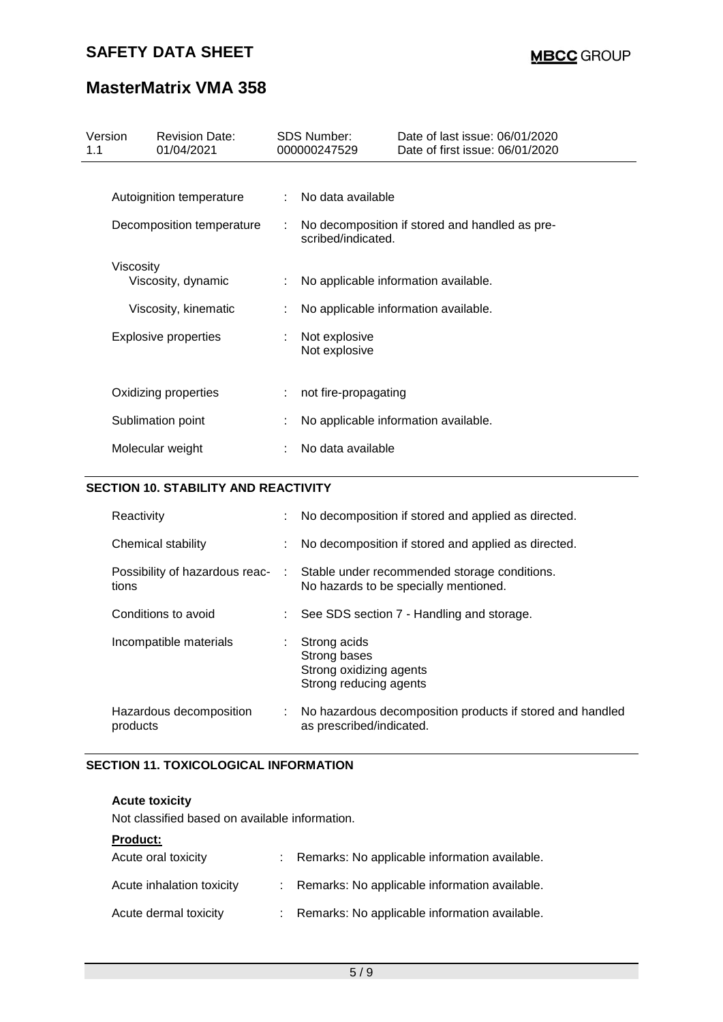# **MasterMatrix VMA 358**

| Version<br>1.1                  | <b>Revision Date:</b><br>01/04/2021 |   | <b>SDS Number:</b><br>000000247529                                   | Date of last issue: 06/01/2020<br>Date of first issue: 06/01/2020 |  |  |
|---------------------------------|-------------------------------------|---|----------------------------------------------------------------------|-------------------------------------------------------------------|--|--|
|                                 | Autoignition temperature            | ÷ | No data available                                                    |                                                                   |  |  |
| Decomposition temperature       |                                     |   | No decomposition if stored and handled as pre-<br>scribed/indicated. |                                                                   |  |  |
| Viscosity<br>Viscosity, dynamic |                                     |   |                                                                      | No applicable information available.                              |  |  |
|                                 | Viscosity, kinematic                |   |                                                                      | No applicable information available.                              |  |  |
|                                 | <b>Explosive properties</b>         |   | Not explosive<br>Not explosive                                       |                                                                   |  |  |
|                                 | Oxidizing properties                |   | not fire-propagating                                                 |                                                                   |  |  |
|                                 | Sublimation point                   |   |                                                                      | No applicable information available.                              |  |  |
|                                 | Molecular weight                    |   | No data available                                                    |                                                                   |  |  |

## **SECTION 10. STABILITY AND REACTIVITY**

| Reactivity                              |            | No decomposition if stored and applied as directed.                                   |
|-----------------------------------------|------------|---------------------------------------------------------------------------------------|
| Chemical stability                      |            | No decomposition if stored and applied as directed.                                   |
| Possibility of hazardous reac-<br>tions | $\sim 100$ | Stable under recommended storage conditions.<br>No hazards to be specially mentioned. |
| Conditions to avoid                     |            | $\therefore$ See SDS section 7 - Handling and storage.                                |
| Incompatible materials                  | ÷.         | Strong acids<br>Strong bases<br>Strong oxidizing agents<br>Strong reducing agents     |
| Hazardous decomposition<br>products     | ÷.         | No hazardous decomposition products if stored and handled<br>as prescribed/indicated. |

## **SECTION 11. TOXICOLOGICAL INFORMATION**

### **Acute toxicity**

Not classified based on available information.

| <b>Product:</b>           |  |                                                 |
|---------------------------|--|-------------------------------------------------|
| Acute oral toxicity       |  | : Remarks: No applicable information available. |
| Acute inhalation toxicity |  | : Remarks: No applicable information available. |
| Acute dermal toxicity     |  | : Remarks: No applicable information available. |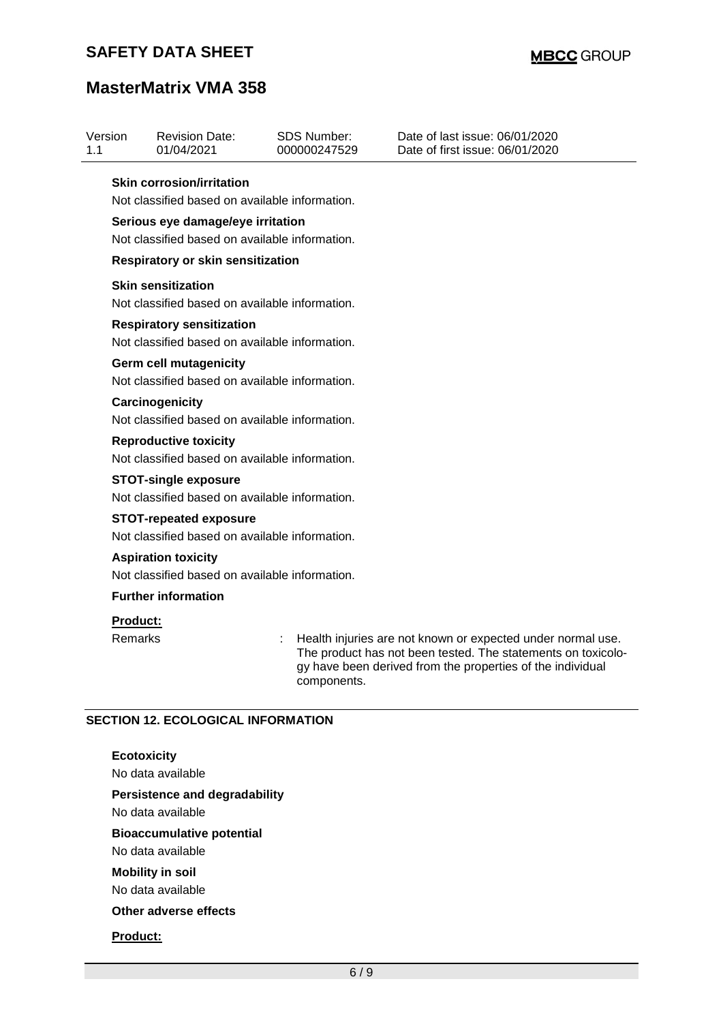# **MasterMatrix VMA 358**

| Version<br>1.1                                                                 |                                                                                     | <b>Revision Date:</b><br>01/04/2021                               |                                                | <b>SDS Number:</b><br>000000247529 | Date of last issue: 06/01/2020<br>Date of first issue: 06/01/2020                                                          |  |  |  |  |
|--------------------------------------------------------------------------------|-------------------------------------------------------------------------------------|-------------------------------------------------------------------|------------------------------------------------|------------------------------------|----------------------------------------------------------------------------------------------------------------------------|--|--|--|--|
|                                                                                |                                                                                     | <b>Skin corrosion/irritation</b>                                  |                                                |                                    |                                                                                                                            |  |  |  |  |
|                                                                                |                                                                                     | Not classified based on available information.                    |                                                |                                    |                                                                                                                            |  |  |  |  |
|                                                                                | Serious eye damage/eye irritation<br>Not classified based on available information. |                                                                   |                                                |                                    |                                                                                                                            |  |  |  |  |
|                                                                                |                                                                                     | Respiratory or skin sensitization                                 |                                                |                                    |                                                                                                                            |  |  |  |  |
|                                                                                |                                                                                     | <b>Skin sensitization</b>                                         |                                                |                                    |                                                                                                                            |  |  |  |  |
|                                                                                |                                                                                     | Not classified based on available information.                    |                                                |                                    |                                                                                                                            |  |  |  |  |
|                                                                                |                                                                                     | <b>Respiratory sensitization</b>                                  |                                                |                                    |                                                                                                                            |  |  |  |  |
|                                                                                |                                                                                     | Not classified based on available information.                    |                                                |                                    |                                                                                                                            |  |  |  |  |
|                                                                                |                                                                                     | <b>Germ cell mutagenicity</b>                                     |                                                |                                    |                                                                                                                            |  |  |  |  |
|                                                                                |                                                                                     | Not classified based on available information.                    |                                                |                                    |                                                                                                                            |  |  |  |  |
|                                                                                |                                                                                     | Carcinogenicity<br>Not classified based on available information. |                                                |                                    |                                                                                                                            |  |  |  |  |
|                                                                                |                                                                                     |                                                                   |                                                |                                    |                                                                                                                            |  |  |  |  |
| <b>Reproductive toxicity</b><br>Not classified based on available information. |                                                                                     |                                                                   |                                                |                                    |                                                                                                                            |  |  |  |  |
| <b>STOT-single exposure</b>                                                    |                                                                                     |                                                                   |                                                |                                    |                                                                                                                            |  |  |  |  |
|                                                                                |                                                                                     |                                                                   | Not classified based on available information. |                                    |                                                                                                                            |  |  |  |  |
|                                                                                |                                                                                     | <b>STOT-repeated exposure</b>                                     |                                                |                                    |                                                                                                                            |  |  |  |  |
|                                                                                | Not classified based on available information.                                      |                                                                   |                                                |                                    |                                                                                                                            |  |  |  |  |
|                                                                                |                                                                                     | <b>Aspiration toxicity</b>                                        |                                                |                                    |                                                                                                                            |  |  |  |  |
| Not classified based on available information.<br><b>Further information</b>   |                                                                                     |                                                                   |                                                |                                    |                                                                                                                            |  |  |  |  |
|                                                                                |                                                                                     |                                                                   |                                                |                                    |                                                                                                                            |  |  |  |  |
|                                                                                | Product:<br><b>Remarks</b>                                                          |                                                                   |                                                |                                    | Health injuries are not known or expected under normal use.                                                                |  |  |  |  |
|                                                                                |                                                                                     |                                                                   |                                                | components.                        | The product has not been tested. The statements on toxicolo-<br>gy have been derived from the properties of the individual |  |  |  |  |
|                                                                                |                                                                                     | <b>SECTION 12. ECOLOGICAL INFORMATION</b>                         |                                                |                                    |                                                                                                                            |  |  |  |  |
|                                                                                | <b>Ecotoxicity</b>                                                                  |                                                                   |                                                |                                    |                                                                                                                            |  |  |  |  |
|                                                                                |                                                                                     | No data available                                                 |                                                |                                    |                                                                                                                            |  |  |  |  |
|                                                                                |                                                                                     | <b>Persistence and degradability</b>                              |                                                |                                    |                                                                                                                            |  |  |  |  |
|                                                                                |                                                                                     | No data available                                                 |                                                |                                    |                                                                                                                            |  |  |  |  |
|                                                                                |                                                                                     | <b>Bioaccumulative potential</b>                                  |                                                |                                    |                                                                                                                            |  |  |  |  |
|                                                                                |                                                                                     | No data available                                                 |                                                |                                    |                                                                                                                            |  |  |  |  |
|                                                                                |                                                                                     | <b>Mobility in soil</b>                                           |                                                |                                    |                                                                                                                            |  |  |  |  |
|                                                                                |                                                                                     | No data available                                                 |                                                |                                    |                                                                                                                            |  |  |  |  |
|                                                                                |                                                                                     | Other adverse effects                                             |                                                |                                    |                                                                                                                            |  |  |  |  |

**Product:**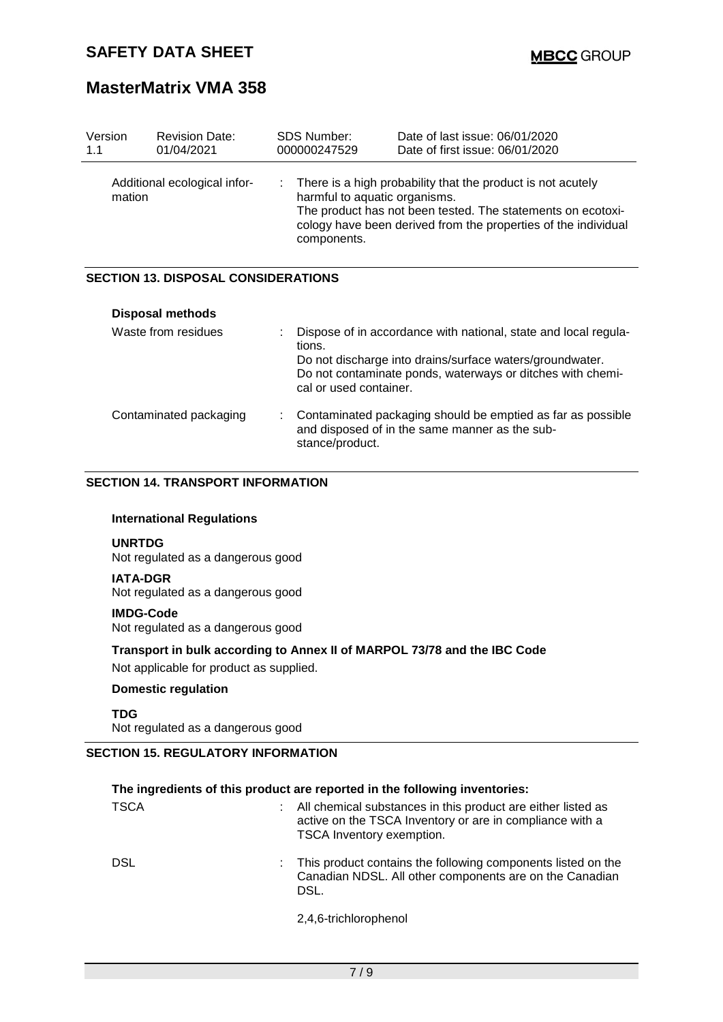| Version<br>1.1                         | <b>Revision Date:</b><br>01/04/2021        |    | <b>SDS Number:</b><br>000000247529                                                                                                                                                                                                           | Date of last issue: 06/01/2020<br>Date of first issue: 06/01/2020                                                                                                                         |  |  |
|----------------------------------------|--------------------------------------------|----|----------------------------------------------------------------------------------------------------------------------------------------------------------------------------------------------------------------------------------------------|-------------------------------------------------------------------------------------------------------------------------------------------------------------------------------------------|--|--|
| Additional ecological infor-<br>mation |                                            | ÷. | There is a high probability that the product is not acutely<br>harmful to aquatic organisms.<br>The product has not been tested. The statements on ecotoxi-<br>cology have been derived from the properties of the individual<br>components. |                                                                                                                                                                                           |  |  |
|                                        | <b>SECTION 13. DISPOSAL CONSIDERATIONS</b> |    |                                                                                                                                                                                                                                              |                                                                                                                                                                                           |  |  |
|                                        | <b>Disposal methods</b>                    |    |                                                                                                                                                                                                                                              |                                                                                                                                                                                           |  |  |
|                                        | Waste from residues                        |    | tions.<br>cal or used container.                                                                                                                                                                                                             | Dispose of in accordance with national, state and local regula-<br>Do not discharge into drains/surface waters/groundwater.<br>Do not contaminate ponds, waterways or ditches with chemi- |  |  |
|                                        | Contaminated packaging                     |    | stance/product.                                                                                                                                                                                                                              | Contaminated packaging should be emptied as far as possible<br>and disposed of in the same manner as the sub-                                                                             |  |  |

### **SECTION 14. TRANSPORT INFORMATION**

### **International Regulations**

#### **UNRTDG**

Not regulated as a dangerous good

### **IATA-DGR**

Not regulated as a dangerous good

#### **IMDG-Code**

Not regulated as a dangerous good

### **Transport in bulk according to Annex II of MARPOL 73/78 and the IBC Code**

Not applicable for product as supplied.

### **Domestic regulation**

**TDG** Not regulated as a dangerous good

## **SECTION 15. REGULATORY INFORMATION**

| The ingredients of this product are reported in the following inventories: |    |                                                                                                                                                       |  |
|----------------------------------------------------------------------------|----|-------------------------------------------------------------------------------------------------------------------------------------------------------|--|
| <b>TSCA</b>                                                                | ÷. | All chemical substances in this product are either listed as<br>active on the TSCA Inventory or are in compliance with a<br>TSCA Inventory exemption. |  |
| <b>DSL</b>                                                                 |    | : This product contains the following components listed on the<br>Canadian NDSL. All other components are on the Canadian<br>DSL.                     |  |
|                                                                            |    |                                                                                                                                                       |  |

2,4,6-trichlorophenol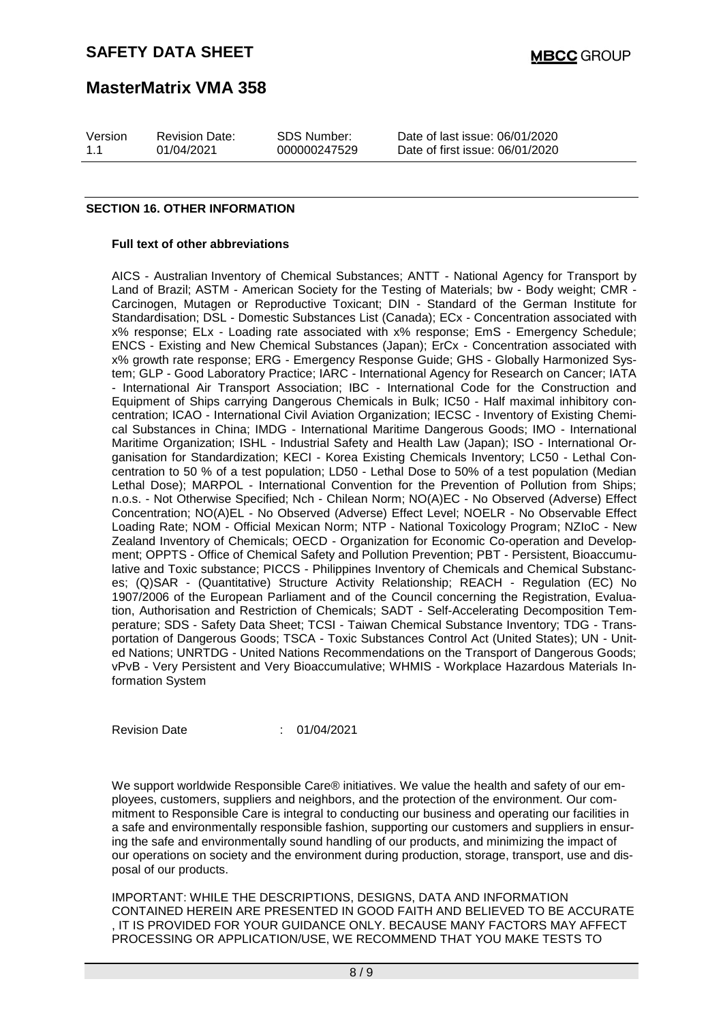| Version | <b>Revision Date:</b> | <b>SDS Number:</b> |
|---------|-----------------------|--------------------|
| 1.1     | 01/04/2021            | 000000247529       |

Date of last issue: 06/01/2020 Date of first issue: 06/01/2020

### **SECTION 16. OTHER INFORMATION**

#### **Full text of other abbreviations**

AICS - Australian Inventory of Chemical Substances; ANTT - National Agency for Transport by Land of Brazil; ASTM - American Society for the Testing of Materials; bw - Body weight; CMR - Carcinogen, Mutagen or Reproductive Toxicant; DIN - Standard of the German Institute for Standardisation; DSL - Domestic Substances List (Canada); ECx - Concentration associated with x% response; ELx - Loading rate associated with x% response; EmS - Emergency Schedule; ENCS - Existing and New Chemical Substances (Japan); ErCx - Concentration associated with x% growth rate response; ERG - Emergency Response Guide; GHS - Globally Harmonized System; GLP - Good Laboratory Practice; IARC - International Agency for Research on Cancer; IATA - International Air Transport Association; IBC - International Code for the Construction and Equipment of Ships carrying Dangerous Chemicals in Bulk; IC50 - Half maximal inhibitory concentration; ICAO - International Civil Aviation Organization; IECSC - Inventory of Existing Chemical Substances in China; IMDG - International Maritime Dangerous Goods; IMO - International Maritime Organization; ISHL - Industrial Safety and Health Law (Japan); ISO - International Organisation for Standardization; KECI - Korea Existing Chemicals Inventory; LC50 - Lethal Concentration to 50 % of a test population; LD50 - Lethal Dose to 50% of a test population (Median Lethal Dose); MARPOL - International Convention for the Prevention of Pollution from Ships; n.o.s. - Not Otherwise Specified; Nch - Chilean Norm; NO(A)EC - No Observed (Adverse) Effect Concentration; NO(A)EL - No Observed (Adverse) Effect Level; NOELR - No Observable Effect Loading Rate; NOM - Official Mexican Norm; NTP - National Toxicology Program; NZIoC - New Zealand Inventory of Chemicals; OECD - Organization for Economic Co-operation and Development; OPPTS - Office of Chemical Safety and Pollution Prevention; PBT - Persistent, Bioaccumulative and Toxic substance; PICCS - Philippines Inventory of Chemicals and Chemical Substances; (Q)SAR - (Quantitative) Structure Activity Relationship; REACH - Regulation (EC) No 1907/2006 of the European Parliament and of the Council concerning the Registration, Evaluation, Authorisation and Restriction of Chemicals; SADT - Self-Accelerating Decomposition Temperature; SDS - Safety Data Sheet; TCSI - Taiwan Chemical Substance Inventory; TDG - Transportation of Dangerous Goods; TSCA - Toxic Substances Control Act (United States); UN - United Nations; UNRTDG - United Nations Recommendations on the Transport of Dangerous Goods; vPvB - Very Persistent and Very Bioaccumulative; WHMIS - Workplace Hazardous Materials Information System

Revision Date : 01/04/2021

We support worldwide Responsible Care® initiatives. We value the health and safety of our employees, customers, suppliers and neighbors, and the protection of the environment. Our commitment to Responsible Care is integral to conducting our business and operating our facilities in a safe and environmentally responsible fashion, supporting our customers and suppliers in ensuring the safe and environmentally sound handling of our products, and minimizing the impact of our operations on society and the environment during production, storage, transport, use and disposal of our products.

IMPORTANT: WHILE THE DESCRIPTIONS, DESIGNS, DATA AND INFORMATION CONTAINED HEREIN ARE PRESENTED IN GOOD FAITH AND BELIEVED TO BE ACCURATE , IT IS PROVIDED FOR YOUR GUIDANCE ONLY. BECAUSE MANY FACTORS MAY AFFECT PROCESSING OR APPLICATION/USE, WE RECOMMEND THAT YOU MAKE TESTS TO